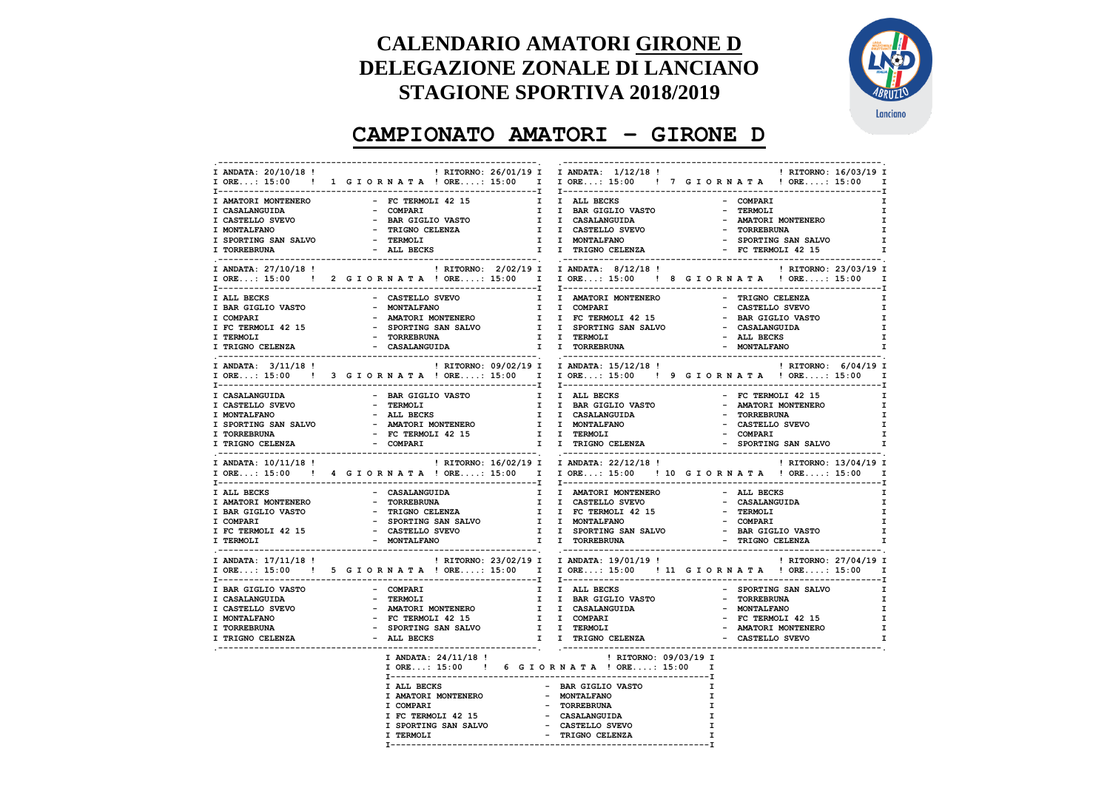## **CALENDARIO AMATORI GIRONE D DELEGAZIONE ZONALE DI LANCIANO STAGIONE SPORTIVA 2018/2019**



## **CAMPIONATO AMATORI – GIRONE D**

| I ANDATA: 20/10/18 !                                                 | I ORE: 15:00 ! 1 G I O R N A T A ! ORE: 15:00 I I ORE: 15:00 ! 7 G I O R N A T A ! ORE: 15:00 I                                                                                                                                                                                                                                                                                                                                                           |                                                                                                                        |              |                                                           |              |
|----------------------------------------------------------------------|-----------------------------------------------------------------------------------------------------------------------------------------------------------------------------------------------------------------------------------------------------------------------------------------------------------------------------------------------------------------------------------------------------------------------------------------------------------|------------------------------------------------------------------------------------------------------------------------|--------------|-----------------------------------------------------------|--------------|
| I AMATORI MONTENERO                                                  | - FC TERMOLI 42 15                                                                                                                                                                                                                                                                                                                                                                                                                                        | I I ALL BECKS                                                                                                          |              | - COMPARI                                                 | I.           |
|                                                                      | - COMPARI                                                                                                                                                                                                                                                                                                                                                                                                                                                 | I I BAR GIGLIO VASTO                                                                                                   |              | - TERMOLI                                                 | Ι.           |
|                                                                      |                                                                                                                                                                                                                                                                                                                                                                                                                                                           |                                                                                                                        |              | - AMATORI MONTENERO                                       | $\mathbf{I}$ |
|                                                                      |                                                                                                                                                                                                                                                                                                                                                                                                                                                           |                                                                                                                        |              |                                                           | I.           |
|                                                                      |                                                                                                                                                                                                                                                                                                                                                                                                                                                           | - - ----<br>I I CASALANGUIDA<br>I I CASTELLO SVEVO<br>I I MONTALFANO                                                   |              |                                                           | $\mathbf{I}$ |
|                                                                      |                                                                                                                                                                                                                                                                                                                                                                                                                                                           | - CASTELLO SVEVO<br>I I CASTELLO SVEVO<br>I I MONTALFANO - SPORTING SAN SALVO<br>I I TRIGNO CELENZA - FC TERMOLI 42 15 |              |                                                           | $\mathbf{I}$ |
| I ANDATA: 27/10/18 !                                                 |                                                                                                                                                                                                                                                                                                                                                                                                                                                           | ! RITORNO: 2/02/19 I I ANDATA: 8/12/18 !                                                                               |              | ! RITORNO: 23/03/19 I                                     |              |
|                                                                      | IORE: 15:00! 2 GIORNATA !ORE: 15:00 I IORE: 15:00 ! 8 GIORNATA !ORE: 15:00 I                                                                                                                                                                                                                                                                                                                                                                              |                                                                                                                        |              |                                                           |              |
| I ALL BECKS                                                          | - CASTELLO SVEVO                                                                                                                                                                                                                                                                                                                                                                                                                                          | I I AMATORI MONTENERO                                                                                                  |              | - TRIGNO CELENZA                                          | $\mathbf{I}$ |
|                                                                      |                                                                                                                                                                                                                                                                                                                                                                                                                                                           |                                                                                                                        |              |                                                           | I.           |
|                                                                      | $\begin{array}{cccccccccccc} \texttt{I} & \texttt{BAR GIGLIO VASTO} & \texttt{MANTOLI FANO} & \texttt{MONTALFANO} & \texttt{I} & \texttt{COMPARI} & \texttt{MANTOLI VASTO} & \texttt{MANTOLI VASTO} & \texttt{MANTOLI VASTO} & \texttt{MANTOLI VASTO} & \texttt{MANTOLI VASTO} & \texttt{I} & \texttt{I} & \texttt{COMPARI} & \texttt{I} & \texttt{MANTOLI VASTO} & \texttt{MASTO VASTO} & \texttt{MASTO VASTO} & \texttt{MASTO VASTO} & \texttt{MASTO V$ |                                                                                                                        |              | - BAR GIGLIO VASTO                                        | $\mathbf{I}$ |
|                                                                      |                                                                                                                                                                                                                                                                                                                                                                                                                                                           |                                                                                                                        |              |                                                           | $\mathbf{I}$ |
|                                                                      |                                                                                                                                                                                                                                                                                                                                                                                                                                                           |                                                                                                                        |              |                                                           | $\mathbf{I}$ |
|                                                                      |                                                                                                                                                                                                                                                                                                                                                                                                                                                           |                                                                                                                        |              |                                                           | <b>I</b>     |
|                                                                      |                                                                                                                                                                                                                                                                                                                                                                                                                                                           |                                                                                                                        |              |                                                           |              |
| I ANDATA: 3/11/18 !                                                  |                                                                                                                                                                                                                                                                                                                                                                                                                                                           |                                                                                                                        |              |                                                           |              |
|                                                                      | IORE: 15:00! 3 GIORNATA ! ORE: 15:00 I IORE: 15:00 ! 9 GIORNATA ! ORE: 15:00 I                                                                                                                                                                                                                                                                                                                                                                            |                                                                                                                        |              |                                                           |              |
| I CASALANGUIDA                                                       | - BAR GIGLIO VASTO                                                                                                                                                                                                                                                                                                                                                                                                                                        | I I ALL BECKS                                                                                                          |              |                                                           | I.           |
|                                                                      |                                                                                                                                                                                                                                                                                                                                                                                                                                                           | I I BAR GIGLIO VASTO                                                                                                   |              | - IERMOLI 42 15<br>- AMATORI MONTENERO<br>- TORREBBIN'    | $\mathbf{I}$ |
| I CASTELLO SVEVO<br>I MONTALFANO                                     | - TERMOLI<br>- ALL BECKS                                                                                                                                                                                                                                                                                                                                                                                                                                  |                                                                                                                        |              |                                                           | I.           |
|                                                                      |                                                                                                                                                                                                                                                                                                                                                                                                                                                           | I I CASALANGUIDA<br>I I MONTALFANO                                                                                     |              |                                                           |              |
| I SPORTING SAN SALVO                                                 | - AMATORI MONTENERO<br>- FC TERMOLI 42 15                                                                                                                                                                                                                                                                                                                                                                                                                 |                                                                                                                        |              | - CASTELLO SVEVO                                          | $\mathbf{I}$ |
| I TORREBRUNA                                                         |                                                                                                                                                                                                                                                                                                                                                                                                                                                           | I I TERMOLI                                                                                                            |              | - COMPARI                                                 | I.           |
| I TRIGNO CELENZA - COMPARI                                           |                                                                                                                                                                                                                                                                                                                                                                                                                                                           | I I TRIGNO CELENZA   SPORTING SAN SALVO                                                                                |              |                                                           | <b>I</b>     |
| I ANDATA: 10/11/18 !                                                 | ! RITORNO: 16/02/19 I I ANDATA: 22/12/18 !                                                                                                                                                                                                                                                                                                                                                                                                                |                                                                                                                        |              | ! RITORNO: 13/04/19 I                                     |              |
|                                                                      | IORE: 15:00! 4 GIORNATA !ORE: 15:00 I IORE: 15:00 ! 10 GIORNATA !ORE: 15:00 I                                                                                                                                                                                                                                                                                                                                                                             |                                                                                                                        |              |                                                           |              |
|                                                                      | - CASALANGUIDA                                                                                                                                                                                                                                                                                                                                                                                                                                            |                                                                                                                        |              |                                                           | I.           |
| I ALL BECKS                                                          |                                                                                                                                                                                                                                                                                                                                                                                                                                                           | I I AMATORI MONTENERO                                                                                                  |              | - ALL BECKS                                               |              |
|                                                                      |                                                                                                                                                                                                                                                                                                                                                                                                                                                           |                                                                                                                        |              |                                                           | $\mathbf{I}$ |
|                                                                      |                                                                                                                                                                                                                                                                                                                                                                                                                                                           |                                                                                                                        |              |                                                           | $\mathbf{I}$ |
|                                                                      |                                                                                                                                                                                                                                                                                                                                                                                                                                                           |                                                                                                                        |              |                                                           | I.           |
|                                                                      |                                                                                                                                                                                                                                                                                                                                                                                                                                                           |                                                                                                                        |              |                                                           | $\mathbf{I}$ |
|                                                                      |                                                                                                                                                                                                                                                                                                                                                                                                                                                           |                                                                                                                        |              |                                                           | I.           |
| I ANDATA: 17/11/18 !                                                 |                                                                                                                                                                                                                                                                                                                                                                                                                                                           | ! RITORNO: 23/02/19 I I ANDATA: 19/01/19 !                                                                             |              | ! RITORNO: 27/04/19 I                                     |              |
|                                                                      | IORE: 15:00 ! 5 GIORNATA !ORE: 15:00 I IORE: 15:00 ! 11 GIORNATA !ORE: 15:00 I                                                                                                                                                                                                                                                                                                                                                                            |                                                                                                                        |              |                                                           |              |
| I BAR GIGLIO VASTO                                                   |                                                                                                                                                                                                                                                                                                                                                                                                                                                           |                                                                                                                        |              | - SPORTING SAN SALVO                                      |              |
| I CASALANGUIDA                                                       |                                                                                                                                                                                                                                                                                                                                                                                                                                                           |                                                                                                                        |              | - TORREBRUNA                                              | $\mathbf{I}$ |
|                                                                      |                                                                                                                                                                                                                                                                                                                                                                                                                                                           |                                                                                                                        |              |                                                           | $\mathbf{I}$ |
|                                                                      |                                                                                                                                                                                                                                                                                                                                                                                                                                                           |                                                                                                                        |              | - MONTALFANO<br>- FC TERMOLI 42 15<br>- AMATORI MONTENERO | $\mathbf{I}$ |
|                                                                      |                                                                                                                                                                                                                                                                                                                                                                                                                                                           |                                                                                                                        |              |                                                           | $\mathbf{I}$ |
| I CASTELLO SVEVO<br>I MONTALFANO<br>I TORREBRUNA<br>I TRIGNO CELENZA |                                                                                                                                                                                                                                                                                                                                                                                                                                                           |                                                                                                                        |              | - CASTELLO SVEVO                                          | $\mathbf{I}$ |
|                                                                      |                                                                                                                                                                                                                                                                                                                                                                                                                                                           |                                                                                                                        |              |                                                           |              |
|                                                                      | I ANDATA: 24/11/18 !<br>I ORE: 15:00 ! 6 G I OR N A T A ! ORE: 15:00 I                                                                                                                                                                                                                                                                                                                                                                                    | ! RITORNO: 09/03/19 I                                                                                                  |              |                                                           |              |
|                                                                      |                                                                                                                                                                                                                                                                                                                                                                                                                                                           |                                                                                                                        |              |                                                           |              |
|                                                                      | I ALL BECKS                                                                                                                                                                                                                                                                                                                                                                                                                                               | - BAR GIGLIO VASTO                                                                                                     |              |                                                           |              |
|                                                                      |                                                                                                                                                                                                                                                                                                                                                                                                                                                           | - MONTALFANO                                                                                                           | $\mathbf{T}$ |                                                           |              |
|                                                                      |                                                                                                                                                                                                                                                                                                                                                                                                                                                           |                                                                                                                        |              |                                                           |              |
|                                                                      | I AMATORI MONTENERO<br>I COMPARI                                                                                                                                                                                                                                                                                                                                                                                                                          | - TORREBRUNA                                                                                                           | I            |                                                           |              |
|                                                                      |                                                                                                                                                                                                                                                                                                                                                                                                                                                           |                                                                                                                        | $\mathbf{I}$ |                                                           |              |
|                                                                      |                                                                                                                                                                                                                                                                                                                                                                                                                                                           |                                                                                                                        | $\mathbf{I}$ |                                                           |              |
|                                                                      | I TERMOLI                                                                                                                                                                                                                                                                                                                                                                                                                                                 | - TRIGNO CELENZA                                                                                                       |              |                                                           |              |